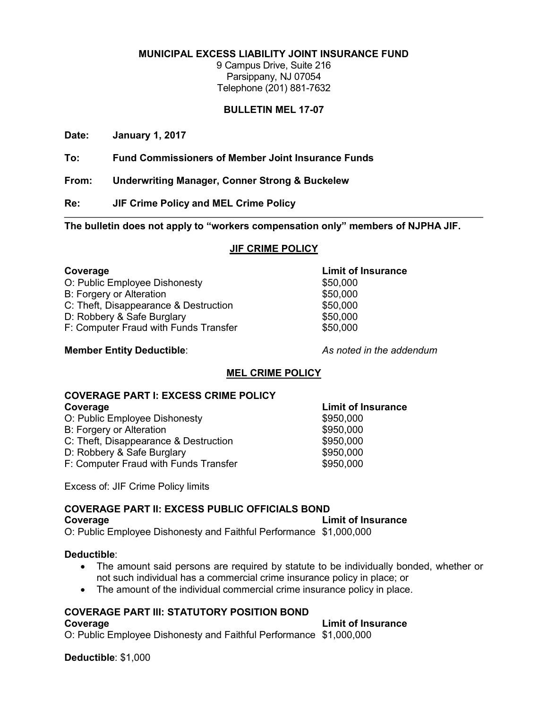#### **MUNICIPAL EXCESS LIABILITY JOINT INSURANCE FUND**

9 Campus Drive, Suite 216 Parsippany, NJ 07054 Telephone (201) 881-7632

#### **BULLETIN MEL 17-07**

**Date: January 1, 2017**

**To: Fund Commissioners of Member Joint Insurance Funds**

**From: Underwriting Manager, Conner Strong & Buckelew** 

**Re: JIF Crime Policy and MEL Crime Policy**

**The bulletin does not apply to "workers compensation only" members of NJPHA JIF.**

#### **JIF CRIME POLICY**

#### **Coverage Limit of Insurance**

O: Public Employee Dishonesty  $$50,000$ 

- B: Forgery or Alteration  $$50,000$
- C: Theft, Disappearance & Destruction  $$50,000$
- D: Robbery & Safe Burglary \$50,000
- F: Computer Fraud with Funds Transfer \$50,000

#### **Member Entity Deductible**: *As noted in the addendum*

### **MEL CRIME POLICY**

#### **COVERAGE PART I: EXCESS CRIME POLICY Coverage Limit of Insurance**

- O: Public Employee Dishonesty **\$950,000**
- B: Forgery or Alteration  $$950,000$
- C: Theft, Disappearance & Destruction  $$950,000$
- D: Robbery & Safe Burglary  $$950,000$
- F: Computer Fraud with Funds Transfer **\$950,000**

Excess of: JIF Crime Policy limits

#### **COVERAGE PART II: EXCESS PUBLIC OFFICIALS BOND**

**Coverage Limit of Insurance**

O: Public Employee Dishonesty and Faithful Performance \$1,000,000

#### **Deductible**:

- The amount said persons are required by statute to be individually bonded, whether or not such individual has a commercial crime insurance policy in place; or
- The amount of the individual commercial crime insurance policy in place.

#### **COVERAGE PART III: STATUTORY POSITION BOND**

#### **Coverage Limit of Insurance**

O: Public Employee Dishonesty and Faithful Performance \$1,000,000

**Deductible**: \$1,000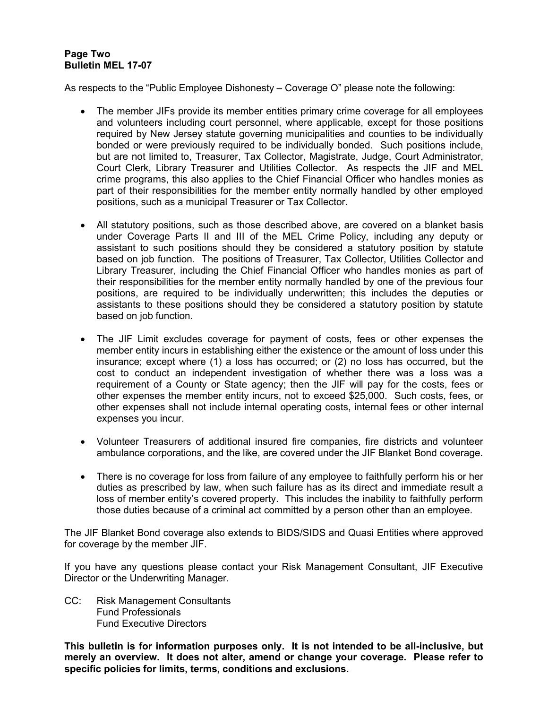#### **Page Two Bulletin MEL 17-07**

As respects to the "Public Employee Dishonesty – Coverage O" please note the following:

- The member JIFs provide its member entities primary crime coverage for all employees and volunteers including court personnel, where applicable, except for those positions required by New Jersey statute governing municipalities and counties to be individually bonded or were previously required to be individually bonded. Such positions include, but are not limited to, Treasurer, Tax Collector, Magistrate, Judge, Court Administrator, Court Clerk, Library Treasurer and Utilities Collector. As respects the JIF and MEL crime programs, this also applies to the Chief Financial Officer who handles monies as part of their responsibilities for the member entity normally handled by other employed positions, such as a municipal Treasurer or Tax Collector.
- All statutory positions, such as those described above, are covered on a blanket basis under Coverage Parts II and III of the MEL Crime Policy, including any deputy or assistant to such positions should they be considered a statutory position by statute based on job function. The positions of Treasurer, Tax Collector, Utilities Collector and Library Treasurer, including the Chief Financial Officer who handles monies as part of their responsibilities for the member entity normally handled by one of the previous four positions, are required to be individually underwritten; this includes the deputies or assistants to these positions should they be considered a statutory position by statute based on job function.
- The JIF Limit excludes coverage for payment of costs, fees or other expenses the member entity incurs in establishing either the existence or the amount of loss under this insurance; except where (1) a loss has occurred; or (2) no loss has occurred, but the cost to conduct an independent investigation of whether there was a loss was a requirement of a County or State agency; then the JIF will pay for the costs, fees or other expenses the member entity incurs, not to exceed \$25,000. Such costs, fees, or other expenses shall not include internal operating costs, internal fees or other internal expenses you incur.
- Volunteer Treasurers of additional insured fire companies, fire districts and volunteer ambulance corporations, and the like, are covered under the JIF Blanket Bond coverage.
- There is no coverage for loss from failure of any employee to faithfully perform his or her duties as prescribed by law, when such failure has as its direct and immediate result a loss of member entity's covered property. This includes the inability to faithfully perform those duties because of a criminal act committed by a person other than an employee.

The JIF Blanket Bond coverage also extends to BIDS/SIDS and Quasi Entities where approved for coverage by the member JIF.

If you have any questions please contact your Risk Management Consultant, JIF Executive Director or the Underwriting Manager.

CC: Risk Management Consultants Fund Professionals Fund Executive Directors

**This bulletin is for information purposes only. It is not intended to be all-inclusive, but merely an overview. It does not alter, amend or change your coverage. Please refer to specific policies for limits, terms, conditions and exclusions.**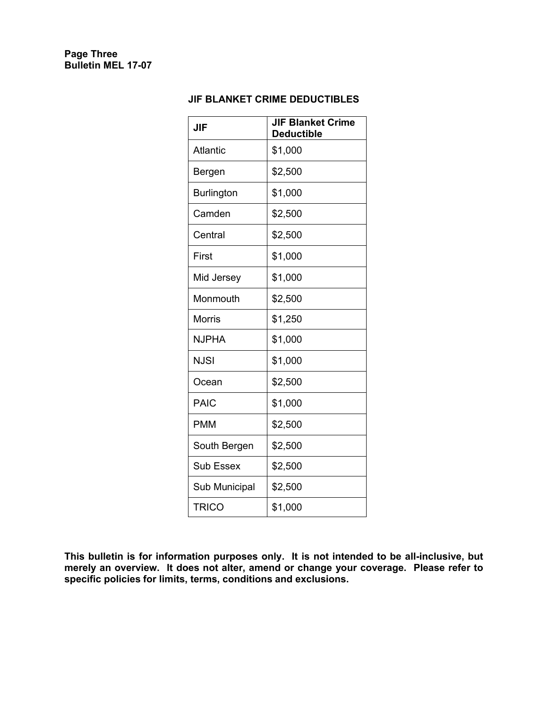### **JIF BLANKET CRIME DEDUCTIBLES**

| <b>JIF</b>        | <b>JIF Blanket Crime</b><br><b>Deductible</b> |
|-------------------|-----------------------------------------------|
| <b>Atlantic</b>   | \$1,000                                       |
| Bergen            | \$2,500                                       |
| <b>Burlington</b> | \$1,000                                       |
| Camden            | \$2,500                                       |
| Central           | \$2,500                                       |
| First             | \$1,000                                       |
| Mid Jersey        | \$1,000                                       |
| Monmouth          | \$2,500                                       |
| <b>Morris</b>     | \$1,250                                       |
| <b>NJPHA</b>      | \$1,000                                       |
| <b>NJSI</b>       | \$1,000                                       |
| Ocean             | \$2,500                                       |
| <b>PAIC</b>       | \$1,000                                       |
| <b>PMM</b>        | \$2,500                                       |
| South Bergen      | \$2,500                                       |
| <b>Sub Essex</b>  | \$2,500                                       |
| Sub Municipal     | \$2,500                                       |
| <b>TRICO</b>      | \$1,000                                       |

**This bulletin is for information purposes only. It is not intended to be all-inclusive, but merely an overview. It does not alter, amend or change your coverage. Please refer to specific policies for limits, terms, conditions and exclusions.**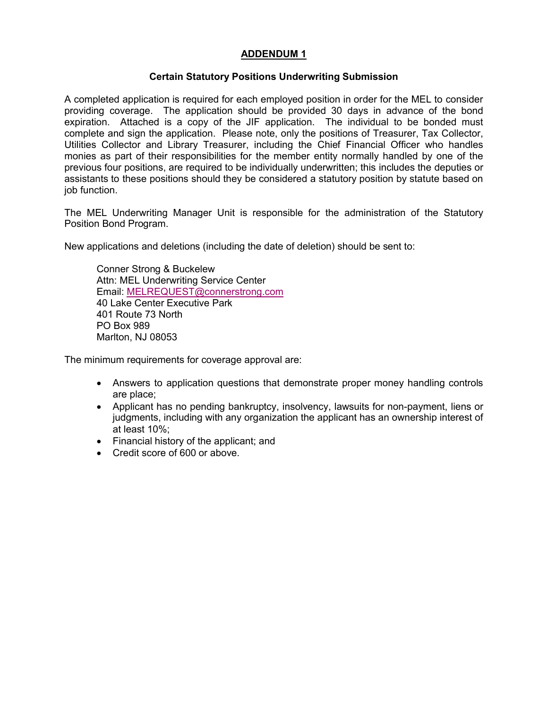#### **ADDENDUM 1**

#### **Certain Statutory Positions Underwriting Submission**

A completed application is required for each employed position in order for the MEL to consider providing coverage. The application should be provided 30 days in advance of the bond expiration. Attached is a copy of the JIF application. The individual to be bonded must complete and sign the application. Please note, only the positions of Treasurer, Tax Collector, Utilities Collector and Library Treasurer, including the Chief Financial Officer who handles monies as part of their responsibilities for the member entity normally handled by one of the previous four positions, are required to be individually underwritten; this includes the deputies or assistants to these positions should they be considered a statutory position by statute based on job function.

The MEL Underwriting Manager Unit is responsible for the administration of the Statutory Position Bond Program.

New applications and deletions (including the date of deletion) should be sent to:

Conner Strong & Buckelew Attn: MEL Underwriting Service Center Email: MELREQUEST@connerstrong.com 40 Lake Center Executive Park 401 Route 73 North PO Box 989 Marlton, NJ 08053

The minimum requirements for coverage approval are:

- Answers to application questions that demonstrate proper money handling controls are place;
- Applicant has no pending bankruptcy, insolvency, lawsuits for non-payment, liens or judgments, including with any organization the applicant has an ownership interest of at least 10%;
- Financial history of the applicant; and
- Credit score of 600 or above.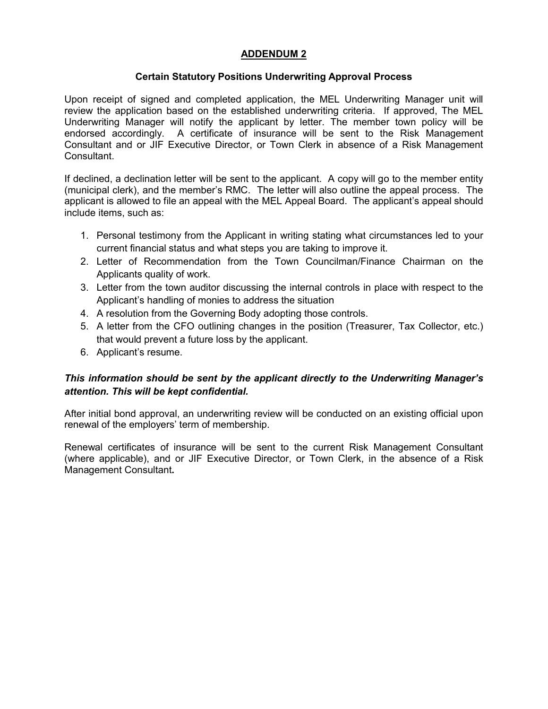#### **ADDENDUM 2**

#### **Certain Statutory Positions Underwriting Approval Process**

Upon receipt of signed and completed application, the MEL Underwriting Manager unit will review the application based on the established underwriting criteria. If approved, The MEL Underwriting Manager will notify the applicant by letter. The member town policy will be endorsed accordingly. A certificate of insurance will be sent to the Risk Management Consultant and or JIF Executive Director, or Town Clerk in absence of a Risk Management Consultant.

If declined, a declination letter will be sent to the applicant. A copy will go to the member entity (municipal clerk), and the member's RMC. The letter will also outline the appeal process. The applicant is allowed to file an appeal with the MEL Appeal Board. The applicant's appeal should include items, such as:

- 1. Personal testimony from the Applicant in writing stating what circumstances led to your current financial status and what steps you are taking to improve it.
- 2. Letter of Recommendation from the Town Councilman/Finance Chairman on the Applicants quality of work.
- 3. Letter from the town auditor discussing the internal controls in place with respect to the Applicant's handling of monies to address the situation
- 4. A resolution from the Governing Body adopting those controls.
- 5. A letter from the CFO outlining changes in the position (Treasurer, Tax Collector, etc.) that would prevent a future loss by the applicant.
- 6. Applicant's resume.

### *This information should be sent by the applicant directly to the Underwriting Manager's attention. This will be kept confidential.*

After initial bond approval, an underwriting review will be conducted on an existing official upon renewal of the employers' term of membership.

Renewal certificates of insurance will be sent to the current Risk Management Consultant (where applicable), and or JIF Executive Director, or Town Clerk, in the absence of a Risk Management Consultant**.**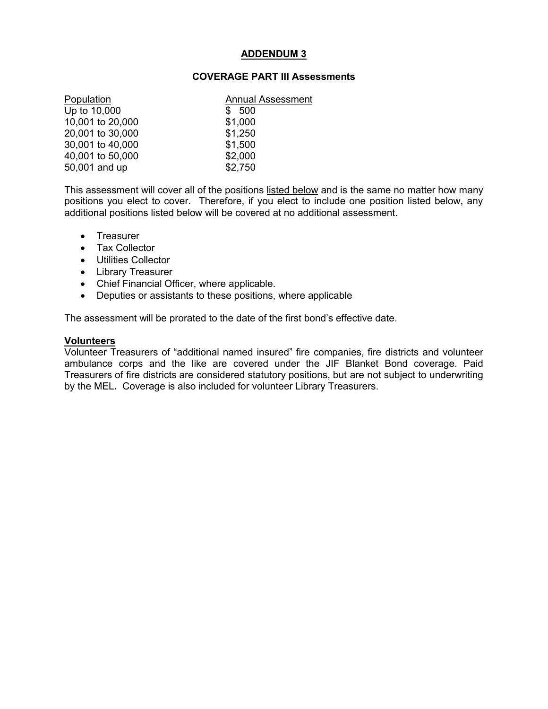#### **ADDENDUM 3**

#### **COVERAGE PART III Assessments**

| Population       | <b>Annual Assessment</b> |  |
|------------------|--------------------------|--|
| Up to 10,000     | \$500                    |  |
| 10,001 to 20,000 | \$1,000                  |  |
| 20,001 to 30,000 | \$1,250                  |  |
| 30,001 to 40,000 | \$1,500                  |  |
| 40,001 to 50,000 | \$2,000                  |  |
| 50,001 and up    | \$2,750                  |  |

This assessment will cover all of the positions listed below and is the same no matter how many positions you elect to cover. Therefore, if you elect to include one position listed below, any additional positions listed below will be covered at no additional assessment.

- Treasurer
- Tax Collector
- Utilities Collector
- Library Treasurer
- Chief Financial Officer, where applicable.
- Deputies or assistants to these positions, where applicable

The assessment will be prorated to the date of the first bond's effective date.

#### **Volunteers**

Volunteer Treasurers of "additional named insured" fire companies, fire districts and volunteer ambulance corps and the like are covered under the JIF Blanket Bond coverage. Paid Treasurers of fire districts are considered statutory positions, but are not subject to underwriting by the MEL**.** Coverage is also included for volunteer Library Treasurers.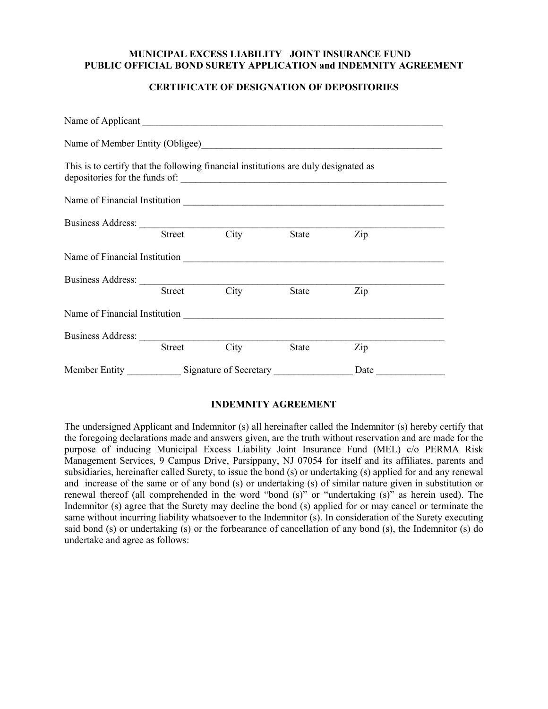#### **MUNICIPAL EXCESS LIABILITY JOINT INSURANCE FUND PUBLIC OFFICIAL BOND SURETY APPLICATION and INDEMNITY AGREEMENT**

#### **CERTIFICATE OF DESIGNATION OF DEPOSITORIES**

| This is to certify that the following financial institutions are duly designated as |        |      |       |      |  |
|-------------------------------------------------------------------------------------|--------|------|-------|------|--|
|                                                                                     |        |      |       |      |  |
| Business Address: <u>Street</u> City State                                          |        |      |       |      |  |
|                                                                                     |        |      | State | Zip  |  |
|                                                                                     |        |      |       |      |  |
|                                                                                     |        |      |       |      |  |
|                                                                                     | Street | City | State | Zip  |  |
|                                                                                     |        |      |       |      |  |
|                                                                                     |        |      |       |      |  |
|                                                                                     | Street | City | State | Zip  |  |
|                                                                                     |        |      |       | Date |  |

#### **INDEMNITY AGREEMENT**

The undersigned Applicant and Indemnitor (s) all hereinafter called the Indemnitor (s) hereby certify that the foregoing declarations made and answers given, are the truth without reservation and are made for the purpose of inducing Municipal Excess Liability Joint Insurance Fund (MEL) c/o PERMA Risk Management Services, 9 Campus Drive, Parsippany, NJ 07054 for itself and its affiliates, parents and subsidiaries, hereinafter called Surety, to issue the bond (s) or undertaking (s) applied for and any renewal and increase of the same or of any bond (s) or undertaking (s) of similar nature given in substitution or renewal thereof (all comprehended in the word "bond (s)" or "undertaking (s)" as herein used). The Indemnitor (s) agree that the Surety may decline the bond (s) applied for or may cancel or terminate the same without incurring liability whatsoever to the Indemnitor (s). In consideration of the Surety executing said bond (s) or undertaking (s) or the forbearance of cancellation of any bond (s), the Indemnitor (s) do undertake and agree as follows: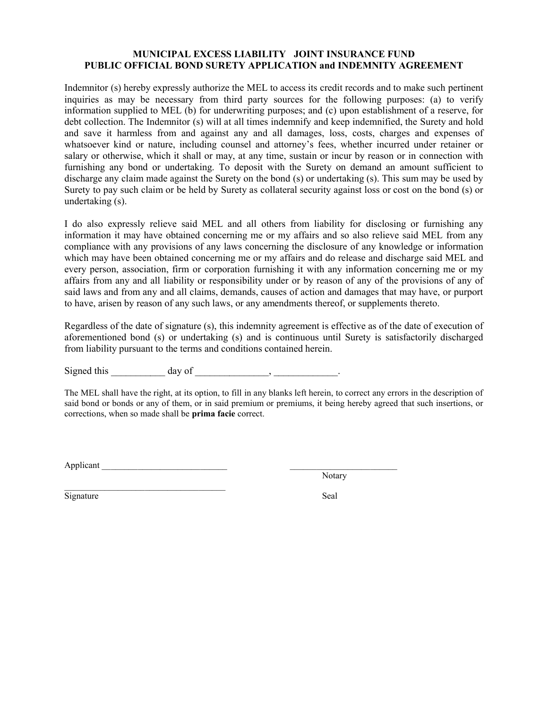#### **MUNICIPAL EXCESS LIABILITY JOINT INSURANCE FUND PUBLIC OFFICIAL BOND SURETY APPLICATION and INDEMNITY AGREEMENT**

Indemnitor (s) hereby expressly authorize the MEL to access its credit records and to make such pertinent inquiries as may be necessary from third party sources for the following purposes: (a) to verify information supplied to MEL (b) for underwriting purposes; and (c) upon establishment of a reserve, for debt collection. The Indemnitor (s) will at all times indemnify and keep indemnified, the Surety and hold and save it harmless from and against any and all damages, loss, costs, charges and expenses of whatsoever kind or nature, including counsel and attorney's fees, whether incurred under retainer or salary or otherwise, which it shall or may, at any time, sustain or incur by reason or in connection with furnishing any bond or undertaking. To deposit with the Surety on demand an amount sufficient to discharge any claim made against the Surety on the bond (s) or undertaking (s). This sum may be used by Surety to pay such claim or be held by Surety as collateral security against loss or cost on the bond (s) or undertaking (s).

I do also expressly relieve said MEL and all others from liability for disclosing or furnishing any information it may have obtained concerning me or my affairs and so also relieve said MEL from any compliance with any provisions of any laws concerning the disclosure of any knowledge or information which may have been obtained concerning me or my affairs and do release and discharge said MEL and every person, association, firm or corporation furnishing it with any information concerning me or my affairs from any and all liability or responsibility under or by reason of any of the provisions of any of said laws and from any and all claims, demands, causes of action and damages that may have, or purport to have, arisen by reason of any such laws, or any amendments thereof, or supplements thereto.

Regardless of the date of signature (s), this indemnity agreement is effective as of the date of execution of aforementioned bond (s) or undertaking (s) and is continuous until Surety is satisfactorily discharged from liability pursuant to the terms and conditions contained herein.

Signed this day of the set of the set of the set of the set of the set of the set of the set of the set of the set of the set of the set of the set of the set of the set of the set of the set of the set of the set of the s

The MEL shall have the right, at its option, to fill in any blanks left herein, to correct any errors in the description of said bond or bonds or any of them, or in said premium or premiums, it being hereby agreed that such insertions, or corrections, when so made shall be **prima facie** correct.

Applicant \_\_\_\_\_\_\_\_\_\_\_\_\_\_\_\_\_\_\_\_\_\_\_\_\_\_\_\_ \_\_\_\_\_\_\_\_\_\_\_\_\_\_\_\_\_\_\_\_\_\_\_\_

 $\mathcal{L}_\text{max}$  , where  $\mathcal{L}_\text{max}$  and  $\mathcal{L}_\text{max}$  and  $\mathcal{L}_\text{max}$ 

Notary

Signature Seal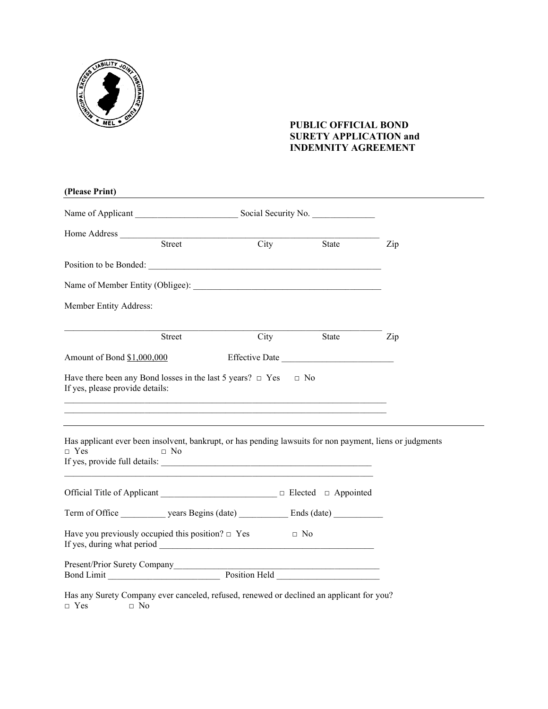

#### **PUBLIC OFFICIAL BOND SURETY APPLICATION and INDEMNITY AGREEMENT**

| (Please Print)                                                                                                                      |                                                                     |                |     |
|-------------------------------------------------------------------------------------------------------------------------------------|---------------------------------------------------------------------|----------------|-----|
|                                                                                                                                     |                                                                     |                |     |
| Home Address                                                                                                                        | <u> 1989 - Johann John Stone, mars and deutscher Stone († 1951)</u> |                |     |
| Street                                                                                                                              | $\overline{City}$                                                   | State          | Zip |
|                                                                                                                                     |                                                                     |                |     |
|                                                                                                                                     |                                                                     |                |     |
| Member Entity Address:                                                                                                              |                                                                     |                |     |
| Street                                                                                                                              | City                                                                | State          | Zip |
| Amount of Bond \$1,000,000                                                                                                          |                                                                     | Effective Date |     |
| Have there been any Bond losses in the last 5 years? $\Box$ Yes<br>If yes, please provide details:                                  |                                                                     | $\Box$ No      |     |
| Has applicant ever been insolvent, bankrupt, or has pending lawsuits for non payment, liens or judgments<br>$\Box$ Yes<br>$\Box$ No |                                                                     |                |     |
|                                                                                                                                     |                                                                     |                |     |
| Term of Office years Begins (date) Ends (date)                                                                                      |                                                                     |                |     |
| Have you previously occupied this position? $\Box$ Yes                                                                              |                                                                     | $\Box$ No      |     |
| Present/Prior Surety Company<br>Bond Limit Position Held Position Held                                                              |                                                                     |                |     |
| Has any Surety Company ever canceled, refused, renewed or declined an applicant for you?<br>$\Box$ No<br>$\Box$ Yes                 |                                                                     |                |     |